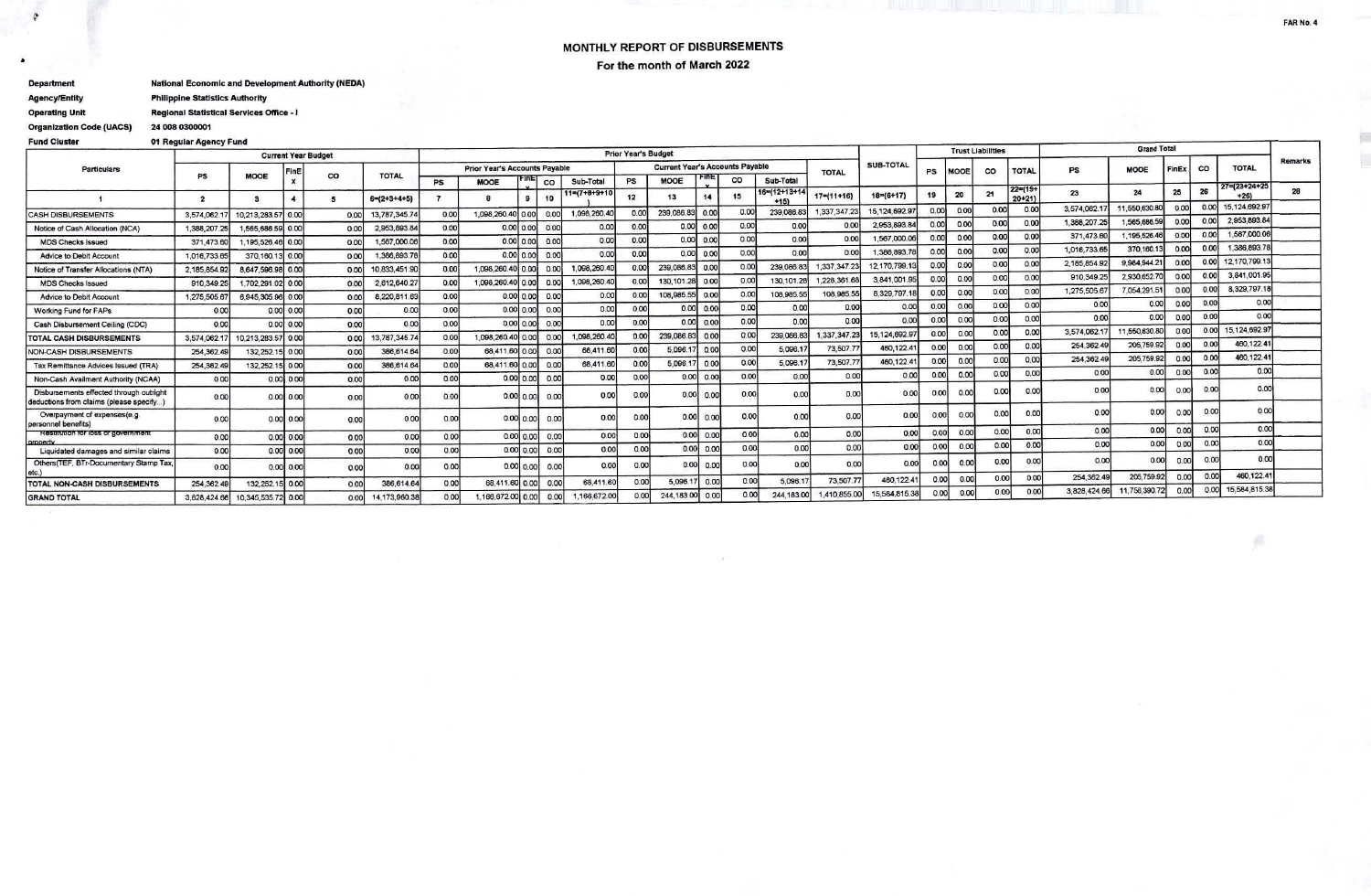## MONTHLY REPORT OF DISBURSEMENTS For the month of March 2022

**National Economic and Development Authority (NEDA) Department** 

**Philippine Statistics Authority Agency/Entity Operating Unit** Regional Statistical Services Office - I

24 008 0300001

**Organization Code (UACS)** 

¢

## **Fund Cluster** 01 Regular Agency Fund

|                                                                                    |                            |                                 |                  |      |                                      | <b>Prior Year's Budget</b> |                   |               |                                        |                                      |                |                 |              |                |              | <b>Trust Liabilities</b> |               |                |      | <b>Grand Total</b> |                           |              |               |         |      |               |    |
|------------------------------------------------------------------------------------|----------------------------|---------------------------------|------------------|------|--------------------------------------|----------------------------|-------------------|---------------|----------------------------------------|--------------------------------------|----------------|-----------------|--------------|----------------|--------------|--------------------------|---------------|----------------|------|--------------------|---------------------------|--------------|---------------|---------|------|---------------|----|
| <b>Particulars</b>                                                                 | <b>Current Year Budget</b> |                                 |                  |      | <b>Prior Year's Accounts Payable</b> |                            |                   |               | <b>Current Year's Accounts Payable</b> |                                      |                |                 |              | SUB-TOTAL      |              |                          |               |                |      |                    |                           | <b>CO</b>    | <b>TOTAL</b>  | Remarks |      |               |    |
|                                                                                    | PS                         | <b>MOOE</b>                     | FinE             | co   | <b>TOTAL</b>                         |                            |                   |               | Sub-Total                              | co<br>Sub-Total<br><b>MOOE</b><br>PS |                |                 | <b>TOTAL</b> |                | PS           | <b>AOO</b>               | co            | <b>TOTAL</b>   | PS   | <b>MOOE</b>        |                           |              |               |         |      |               |    |
|                                                                                    | $\overline{2}$             |                                 | $\boldsymbol{A}$ |      | $6=(2+3+4+5)$                        | PS                         | <b>MOOE</b>       |               | co<br>10                               | $1 = (7 + 8 + 9 + 10)$               | 12             | 13              | 14           | 15             | 6=(12+13+14) | $17= (11+16)$            | $18= (6+17)$  | 19             | 20   | 21                 | $22 = (19+$<br>$20 + 211$ | 23           | 24            | 25      | 26   | $7=123+24+25$ | 28 |
|                                                                                    |                            |                                 |                  |      |                                      |                            |                   |               |                                        |                                      |                |                 |              |                |              | 1.337.347.23             | 15.124.692.97 | nno            | 0.00 | 0.00               | 0.00                      | 3,574,062.   | 1,550,630     |         | 0.00 | 15.124.692.97 |    |
| <b>CASH DISBURSEMENTS</b>                                                          | 3,574,062                  | 10,213,283.57 0.00              |                  | 0.00 | 13,787,345.74                        | 0.00                       | 1,098,260.40      |               | 0.00                                   | 1,098,260.40                         | 0.00           | 239,086.8       | 0.00         | 0.00           | 239,086.8    |                          |               | 0.00           | 0.00 | 0.00               | 0.00                      | 1,388,207.2  | 1.565.686.59  | 0.00    | 0.00 | 2,953,893.84  |    |
| Notice of Cash Allocation (NCA)                                                    | 1,388,207.29               | 1,565,686.59 0.00               |                  | 0.00 | 2,953,893.84                         | 0.00                       |                   | $0.00$ $0.00$ | 0.00                                   | 0.00                                 | 0.00           | 0.00            | 0.00         | 0.00           | 0.00         | 0.00                     | 2,953,893.84  |                |      | 0.00               | 0.00                      | 371,473.6    | 195,526.46    | 0.00    | 0.00 | 1,567,000.06  |    |
| <b>MDS Checks Issued</b>                                                           | 371,473.60                 | 195,526.46 0.00                 |                  | 0.00 | .567,000.0                           | 0.00                       |                   | 0.00 0.00     | 0.00                                   | 0.00                                 | 0.00           |                 | 0.00 0.00    | 0.00           | 0.00         | 0.00                     | 1,567,000.06  | 0.00           | 0.00 |                    |                           | 1,016,733.6  | 370.160.13    | 0.00    | 0.00 | 1.386.893.7   |    |
| Advice to Debit Account                                                            | 1,016,733.65               | 370,160.13                      | 10.00            | 0.00 | 386,893.7                            | 0.00                       |                   | 0.00   0.00   | 0.00                                   | 0.00                                 | 0.00           |                 | 0.00 0.00    | 0.00           | 0.00         | 0.00                     | 1,386,893.7   | n nnl          | 0.00 | 0.00               | 0.00                      |              |               |         | 0.00 | 12,170,799.1  |    |
| Notice of Transfer Allocations (NTA)                                               | 2,185,854.9                | 8.647.596.98 0.00               |                  | 0.00 | 10,833,451.90                        | 0.00                       | 1,098,260.40 0.00 |               | 0.00                                   | 1,098,260.4                          | 0.00           | 239.086.83      | 0.00         | 0.00           | 239,086.8    | 1,337,347.23             | 12.170,799.   | n onl          | 0.00 | 0.00               | 0.00                      | 2,185,854.9  | 9,984,944.21  | 0.00    |      | 3.841.001.95  |    |
| <b>MDS Checks Issued</b>                                                           | 910,349.25                 | 1,702,291.02 0.00               |                  | 0.00 | 2.612,640.27                         | 0.00                       | 1,098,260.40      | 0.00          | 0.00                                   | 1,098,260.4                          | 0.00           | 130, 101.28     | 0.00         | 0.00           | 130.101.2    | 1.228.361.6              | 3,841,001.95  | 0.00           | 0.00 | 0.00               | 0.00                      | 910,349.2    | 2,930.652.70  | 0.00    | 0.00 |               |    |
| <b>Advice to Debit Account</b>                                                     | 1,275,505.6                | 3.945.305.96 0.00               |                  | 0.00 | 8,220,811.63                         | 0.00                       |                   | 0.00   0.00   | 0.00                                   | 0.00                                 | 0.00           | 108,985.55      | 0.00         | 0.00           | 108,985.55   | 108,985.5                | 8,329,797.1   | 0.00           | 0.00 | 0.00               | 0.00                      | 1,275,505.6  | 7.054.291.51  | 0.00    | 0.00 | 8,329,797.1   |    |
| <b>Working Fund for FAPs</b>                                                       | 0.00                       |                                 | 0.00 0.00        | 0.00 | 0.00                                 | 0.00                       |                   | 0.00   0.00   | 0.00                                   | 0.00                                 | 0.00           |                 | 0.00 0.00    | 0.00           | 0.00         | 0.00                     | 0.00          | 0.00           | 0.00 | 0.00               | 0.00                      | 0.00         | 0.00          | 0.00    | 0.00 | 0.00          |    |
| Cash Disbursement Ceiling (CDC)                                                    | 0.00                       |                                 | 0.0010.00        | 0.00 | 0.00                                 | 0.00                       |                   | 0.0010.001    | 0.00                                   | 0.00                                 | 0.00           |                 | 0.00 0.00    | 0.00           | 0.00         | 0.00                     | 0.00          | 000            | 0.00 | 0.00               | 0.00                      | 0.00         | 0.00          |         | 0.00 | 0.00          |    |
| <b>TOTAL CASH DISBURSEMENTS</b>                                                    | 3,574,062.1                | 10,213,283.57 0.00              |                  | 0.00 | 13,787,345.7                         | 0.00                       | 1,098,260.40 0.00 |               | 0.00                                   | 098,260.40                           | 0.00           | 239,086.83      | 0.00         | 0 <sup>0</sup> | 239.086.8    | 1.337,347.23             | 15.124.692.97 | 0.00           | 0.00 | 0.00               | 0.00                      | 3.574.062.1  | 1,550,630.80  | 0.00    | 0.00 | 15.124,692.9  |    |
| <b>NON-CASH DISBURSEMENTS</b>                                                      | 254, 362.49                | 132,252.15 0.00                 |                  | 0.00 | 386,614.6                            | 0.00                       | 68.411.60         | 0.00          | 0.00                                   | 68,411.60                            | 0.00           | 5,096.17        | 0.00         | 0.00           | 5.096.1      | 73,507.7                 | 460,122.4     | 0.00           | 0.00 | 0.00               | 0.00                      | 254,362.49   | 205,759.92    | 0.00    | 0.00 | 460.122.4     |    |
| Tax Remittance Advices Issued (TRA)                                                | 254,362.4                  | 132.252.15 0.00                 |                  | 0.00 | 386,614.64                           | 0.00                       | 68.411.60 0.00    |               | 0.00                                   | 68.411.60                            | 0.00           | 5,096.          | 0.00         | 0.00           | 5.096.1      | 73,507.7                 | 460.122.4     | 0.00           | 0.00 | 0.00               | 0.00                      | 254,362.49   | 205.759.92    | 0.00    | 0.00 | 460.122.4     |    |
|                                                                                    |                            |                                 |                  |      |                                      |                            |                   | 0.00 0.00     | 0.00                                   | 0.00                                 | 0.00           | 0.00            | 0.00         | 0.00           | 0.00         | 0.00                     | 0.00          |                | 0.00 | 0.00               | 0.00                      | 0.00         | 0.00          | 0.00    | 0.00 | 0.00          |    |
| Non-Cash Availment Authority (NCAA)                                                | 0.00                       |                                 | $0.00$ 0.00      | 0.00 | 0.00                                 | 0.00                       |                   |               |                                        |                                      |                |                 |              |                |              |                          |               |                |      |                    | 0.00                      | 0.00         | 0.00          | 0.00    | 0.00 | 0.00          |    |
| Disbursements effected through outright<br>deductions from claims (please specify) | 0.00                       | 0.00                            |                  | 0.00 | 0.00                                 | 0.00                       |                   | 0.00 0.00     | 0.00                                   | 0.00                                 | 0.00           | 0.00            | 0.00         | 0.00           | 0.00         | 0.00                     | 0.00          |                | 0.00 |                    |                           |              |               |         |      |               |    |
| Overpayment of expenses(e.g.<br>personnel benefits)                                | 0.00                       |                                 | $0.00$ 0.00      | 0.00 | 0.00                                 | 0.00                       | 0.00              | 0.00          | 0.00                                   | 0.00                                 | 0.00           | 0.00            | 0.00         | 0.00           | 0.00         | 0.00                     | 0.00          |                | 0.00 | 0.00               | 0.00                      | 0.00         | 0.00          | 00      | 0.00 | 0.00          |    |
| Restitution for loss or government                                                 | 0.00                       |                                 | 0.0010.00        | 0.00 | 0.00                                 | 0.00                       |                   | 0.00 0.00     | 0.00                                   | 0.00                                 | 0.00           | 0.00            | 0.00         | 0.00           | 0.00         | 0.00                     | 0.00          | 0.001          | 0.00 | 0.00               | 0.00                      | 0.00         | 0.00          | 100     | 0.00 | 0.00          |    |
| nmnerty<br>Liquidated damages and similar claims                                   | 0.00                       |                                 | 0.0010.00        | 0.00 | 0.00                                 | 0.00                       |                   | 0.00 0.00     | 0.00                                   | 0.00                                 | 0.00           |                 | 0.00 0.00    | 0.00           | 0.00         | 0.00                     | 0.00          | 0.00           | 0.00 | 0.00               | 0.00                      | 0.00         | 0.00          | 0.00    | 0.00 | 0.001         |    |
| Others(TEF, BTr-Documentary Stamp Tax,                                             |                            |                                 |                  |      |                                      |                            |                   |               |                                        |                                      |                |                 |              |                |              | 0.00                     | 0.00          | 0.00L          | 0.00 | 0.00               | 0.00                      | 0.00         | 0.00          | n ool   | 0.00 | 0.00          |    |
| etc.                                                                               | 0.00                       |                                 | 0.0010.00        | 0.00 | 0.00                                 | 0.00                       | 0.00              | 0.00          | 0.00                                   | 0.00                                 | 0.00           | 0.00            | 0.00         | 0.00           | 0.00         |                          |               |                |      | 0.00               | 0.00                      | 254,362.49   | 205,759.92    | 0.00    | 0.00 | 460.122.4     |    |
| TOTAL NON-CASH DISBURSEMENTS                                                       | 254.362.4                  | 132,252.15 0.00                 |                  | 0.00 | 386,614.64                           | 0.00                       | 68,411.60         | 0.00          | 0.00                                   | 68,411.6                             | 0.00           | 5,096.17        | 0.00         | 0.00           | 5.096.       | 73,507.7                 | 460,122.4     | 0.00           | 0.00 | 0.00               |                           | 3,828,424.66 | 11,756,390.72 | 0.00    | 0.00 | 15,584,815.38 |    |
| <b>GRAND TOTAL</b>                                                                 |                            | 3,828,424.66 10,345,535.72 0.00 |                  | 0.00 | 14,173,960.3                         | 0.00                       | 1,166,672.00      | 0.00          | 0.00                                   | 1,166,672.00                         | 0 <sup>0</sup> | 244,183.00 0.00 |              | 0.00           | 244.183.00   | 1,410,855.00             | 15,584,815.3  | 0 <sub>0</sub> | 0.00 |                    | 0.00                      |              |               |         |      |               |    |
|                                                                                    |                            |                                 |                  |      |                                      |                            |                   |               |                                        |                                      |                |                 |              |                |              |                          |               |                |      |                    |                           |              |               |         |      |               |    |

FAR No. 4

e

滥